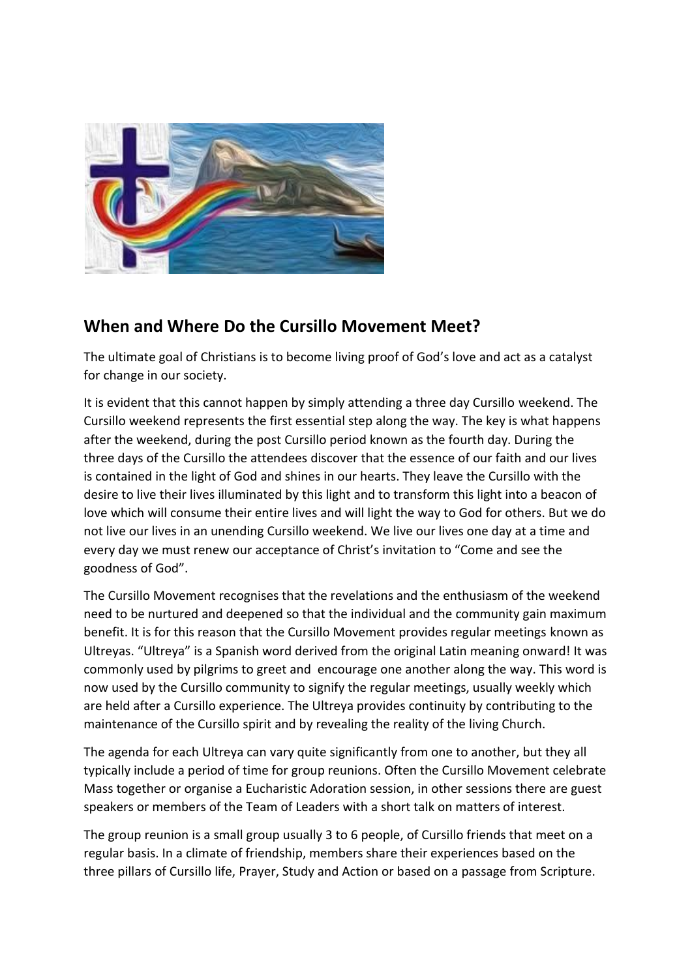

## **When and Where Do the Cursillo Movement Meet?**

The ultimate goal of Christians is to become living proof of God's love and act as a catalyst for change in our society.

It is evident that this cannot happen by simply attending a three day Cursillo weekend. The Cursillo weekend represents the first essential step along the way. The key is what happens after the weekend, during the post Cursillo period known as the fourth day. During the three days of the Cursillo the attendees discover that the essence of our faith and our lives is contained in the light of God and shines in our hearts. They leave the Cursillo with the desire to live their lives illuminated by this light and to transform this light into a beacon of love which will consume their entire lives and will light the way to God for others. But we do not live our lives in an unending Cursillo weekend. We live our lives one day at a time and every day we must renew our acceptance of Christ's invitation to "Come and see the goodness of God".

The Cursillo Movement recognises that the revelations and the enthusiasm of the weekend need to be nurtured and deepened so that the individual and the community gain maximum benefit. It is for this reason that the Cursillo Movement provides regular meetings known as Ultreyas. "Ultreya" is a Spanish word derived from the original Latin meaning onward! It was commonly used by pilgrims to greet and encourage one another along the way. This word is now used by the Cursillo community to signify the regular meetings, usually weekly which are held after a Cursillo experience. The Ultreya provides continuity by contributing to the maintenance of the Cursillo spirit and by revealing the reality of the living Church.

The agenda for each Ultreya can vary quite significantly from one to another, but they all typically include a period of time for group reunions. Often the Cursillo Movement celebrate Mass together or organise a Eucharistic Adoration session, in other sessions there are guest speakers or members of the Team of Leaders with a short talk on matters of interest.

The group reunion is a small group usually 3 to 6 people, of Cursillo friends that meet on a regular basis. In a climate of friendship, members share their experiences based on the three pillars of Cursillo life, Prayer, Study and Action or based on a passage from Scripture.